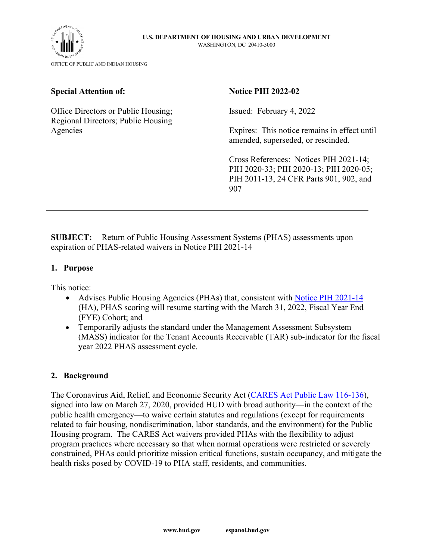

### **Special Attention of:**

Office Directors or Public Housing; Regional Directors; Public Housing Agencies

#### **Notice PIH 2022-02**

Issued: February 4, 2022

Expires: This notice remains in effect until amended, superseded, or rescinded.

Cross References: Notices PIH 2021-14; PIH 2020-33; PIH 2020-13; PIH 2020-05; PIH 2011-13, 24 CFR Parts 901, 902, and 907

**SUBJECT:** Return of Public Housing Assessment Systems (PHAS) assessments upon expiration of PHAS-related waivers in Notice PIH 2021-14

#### **1. Purpose**

This notice:

- Advises Public Housing Agencies (PHAs) that, consistent with [Notice PIH 2021-14](https://www.hud.gov/sites/dfiles/PIH/documents/PIH2021-14.pdf) (HA), PHAS scoring will resume starting with the March 31, 2022, Fiscal Year End (FYE) Cohort; and
- Temporarily adjusts the standard under the Management Assessment Subsystem (MASS) indicator for the Tenant Accounts Receivable (TAR) sub-indicator for the fiscal year 2022 PHAS assessment cycle.

#### **2. Background**

The Coronavirus Aid, Relief, and Economic Security Act [\(CARES Act Public Law 116-136\)](https://www.congress.gov/116/plaws/publ136/PLAW-116publ136.pdf), signed into law on March 27, 2020, provided HUD with broad authority—in the context of the public health emergency—to waive certain statutes and regulations (except for requirements related to fair housing, nondiscrimination, labor standards, and the environment) for the Public Housing program. The CARES Act waivers provided PHAs with the flexibility to adjust program practices where necessary so that when normal operations were restricted or severely constrained, PHAs could prioritize mission critical functions, sustain occupancy, and mitigate the health risks posed by COVID-19 to PHA staff, residents, and communities.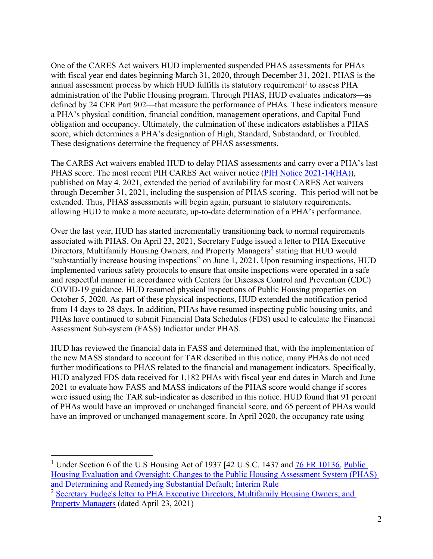One of the CARES Act waivers HUD implemented suspended PHAS assessments for PHAs with fiscal year end dates beginning March 31, 2020, through December 31, 2021. PHAS is the annual assessment process by which HUD fulfills its statutory requirement<sup>1</sup> to assess PHA administration of the Public Housing program. Through PHAS, HUD evaluates indicators—as defined by 24 CFR Part 902—that measure the performance of PHAs. These indicators measure a PHA's physical condition, financial condition, management operations, and Capital Fund obligation and occupancy. Ultimately, the culmination of these indicators establishes a PHAS score, which determines a PHA's designation of High, Standard, Substandard, or Troubled. These designations determine the frequency of PHAS assessments.

The CARES Act waivers enabled HUD to delay PHAS assessments and carry over a PHA's last PHAS score. The most recent PIH CARES Act waiver notice [\(PIH Notice 2021-14\(HA\)\)](https://www.hud.gov/sites/dfiles/PIH/documents/PIH2021-14.pdf), published on May 4, 2021, extended the period of availability for most CARES Act waivers through December 31, 2021, including the suspension of PHAS scoring. This period will not be extended. Thus, PHAS assessments will begin again, pursuant to statutory requirements, allowing HUD to make a more accurate, up-to-date determination of a PHA's performance.

Over the last year, HUD has started incrementally transitioning back to normal requirements associated with PHAS. On April 23, 2021, Secretary Fudge issued a letter to PHA Executive Directors, Multifamily Housing Owners, and Property Managers<sup>2</sup> stating that HUD would "substantially increase housing inspections" on June 1, 2021. Upon resuming inspections, HUD implemented various safety protocols to ensure that onsite inspections were operated in a safe and respectful manner in accordance with Centers for Diseases Control and Prevention (CDC) COVID-19 guidance. HUD resumed physical inspections of Public Housing properties on October 5, 2020. As part of these physical inspections, HUD extended the notification period from 14 days to 28 days. In addition, PHAs have resumed inspecting public housing units, and PHAs have continued to submit Financial Data Schedules (FDS) used to calculate the Financial Assessment Sub-system (FASS) Indicator under PHAS.

HUD has reviewed the financial data in FASS and determined that, with the implementation of the new MASS standard to account for TAR described in this notice, many PHAs do not need further modifications to PHAS related to the financial and management indicators. Specifically, HUD analyzed FDS data received for 1,182 PHAs with fiscal year end dates in March and June 2021 to evaluate how FASS and MASS indicators of the PHAS score would change if scores were issued using the TAR sub-indicator as described in this notice. HUD found that 91 percent of PHAs would have an improved or unchanged financial score, and 65 percent of PHAs would have an improved or unchanged management score. In April 2020, the occupancy rate using

<sup>&</sup>lt;sup>1</sup> Under Section 6 of the U.S Housing Act of 1937 [42 U.S.C. 1437 and **76 FR 10136**, Public [Housing Evaluation and Oversight: Changes to the Public Housing Assessment System \(PHAS\)](https://www.hud.gov/sites/documents/PHAS-INTERIMRULE.PDF)  [and Determining and Remedying Substantial Default; Interim Rule](https://www.hud.gov/sites/documents/PHAS-INTERIMRULE.PDF) 

<sup>&</sup>lt;sup>2</sup> Secretary Fudge's letter to PHA Executive Directors, Multifamily Housing Owners, and [Property Managers](https://www.hud.gov/sites/dfiles/PA/documents/Signed_Sec_Fudge_PHA_Letter.pdf) (dated April 23, 2021)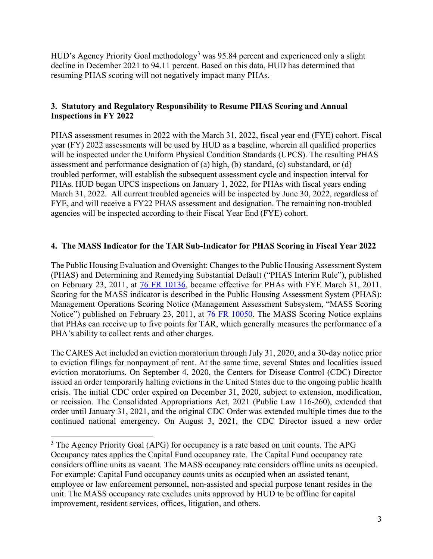HUD's Agency Priority Goal methodology<sup>3</sup> was 95.84 percent and experienced only a slight decline in December 2021 to 94.11 percent. Based on this data, HUD has determined that resuming PHAS scoring will not negatively impact many PHAs.

## **3. Statutory and Regulatory Responsibility to Resume PHAS Scoring and Annual Inspections in FY 2022**

PHAS assessment resumes in 2022 with the March 31, 2022, fiscal year end (FYE) cohort. Fiscal year (FY) 2022 assessments will be used by HUD as a baseline, wherein all qualified properties will be inspected under the Uniform Physical Condition Standards (UPCS). The resulting PHAS assessment and performance designation of (a) high, (b) standard, (c) substandard, or (d) troubled performer, will establish the subsequent assessment cycle and inspection interval for PHAs. HUD began UPCS inspections on January 1, 2022, for PHAs with fiscal years ending March 31, 2022. All current troubled agencies will be inspected by June 30, 2022, regardless of FYE, and will receive a FY22 PHAS assessment and designation. The remaining non-troubled agencies will be inspected according to their Fiscal Year End (FYE) cohort.

# **4. The MASS Indicator for the TAR Sub-Indicator for PHAS Scoring in Fiscal Year 2022**

The Public Housing Evaluation and Oversight: Changes to the Public Housing Assessment System (PHAS) and Determining and Remedying Substantial Default ("PHAS Interim Rule"), published on February 23, 2011, at [76 FR 10136,](https://www.hud.gov/sites/documents/PHAS-INTERIMRULE.PDF) became effective for PHAs with FYE March 31, 2011. Scoring for the MASS indicator is described in the Public Housing Assessment System (PHAS): Management Operations Scoring Notice (Management Assessment Subsystem, "MASS Scoring Notice") published on February 23, 2011, at [76 FR 10050.](https://www.hud.gov/sites/documents/MASS-SCORING.PDF) The MASS Scoring Notice explains that PHAs can receive up to five points for TAR, which generally measures the performance of a PHA's ability to collect rents and other charges.

The CARES Act included an eviction moratorium through July 31, 2020, and a 30-day notice prior to eviction filings for nonpayment of rent. At the same time, several States and localities issued eviction moratoriums. On September 4, 2020, the Centers for Disease Control (CDC) Director issued an order temporarily halting evictions in the United States due to the ongoing public health crisis. The initial CDC order expired on December 31, 2020, subject to extension, modification, or recission. The Consolidated Appropriations Act, 2021 (Public Law 116-260), extended that order until January 31, 2021, and the original CDC Order was extended multiple times due to the continued national emergency. On August 3, 2021, the CDC Director issued a new order

 $3$  The Agency Priority Goal (APG) for occupancy is a rate based on unit counts. The APG Occupancy rates applies the Capital Fund occupancy rate. The Capital Fund occupancy rate considers offline units as vacant. The MASS occupancy rate considers offline units as occupied. For example: Capital Fund occupancy counts units as occupied when an assisted tenant, employee or law enforcement personnel, non-assisted and special purpose tenant resides in the unit. The MASS occupancy rate excludes units approved by HUD to be offline for capital improvement, resident services, offices, litigation, and others.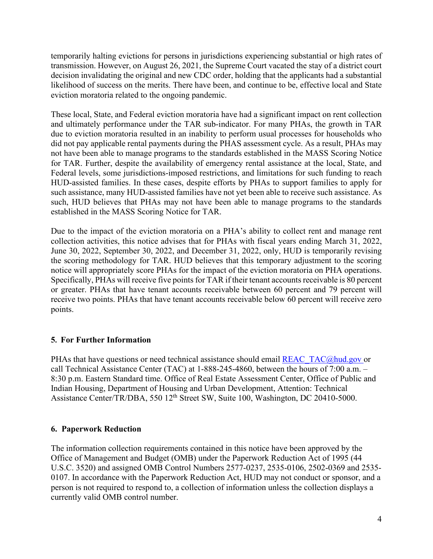temporarily halting evictions for persons in jurisdictions experiencing substantial or high rates of transmission. However, on August 26, 2021, the Supreme Court vacated the stay of a district court decision invalidating the original and new CDC order, holding that the applicants had a substantial likelihood of success on the merits. There have been, and continue to be, effective local and State eviction moratoria related to the ongoing pandemic.

These local, State, and Federal eviction moratoria have had a significant impact on rent collection and ultimately performance under the TAR sub-indicator. For many PHAs, the growth in TAR due to eviction moratoria resulted in an inability to perform usual processes for households who did not pay applicable rental payments during the PHAS assessment cycle. As a result, PHAs may not have been able to manage programs to the standards established in the MASS Scoring Notice for TAR. Further, despite the availability of emergency rental assistance at the local, State, and Federal levels, some jurisdictions-imposed restrictions, and limitations for such funding to reach HUD-assisted families. In these cases, despite efforts by PHAs to support families to apply for such assistance, many HUD-assisted families have not yet been able to receive such assistance. As such, HUD believes that PHAs may not have been able to manage programs to the standards established in the MASS Scoring Notice for TAR.

Due to the impact of the eviction moratoria on a PHA's ability to collect rent and manage rent collection activities, this notice advises that for PHAs with fiscal years ending March 31, 2022, June 30, 2022, September 30, 2022, and December 31, 2022, only, HUD is temporarily revising the scoring methodology for TAR. HUD believes that this temporary adjustment to the scoring notice will appropriately score PHAs for the impact of the eviction moratoria on PHA operations. Specifically, PHAs will receive five points for TAR if their tenant accounts receivable is 80 percent or greater. PHAs that have tenant accounts receivable between 60 percent and 79 percent will receive two points. PHAs that have tenant accounts receivable below 60 percent will receive zero points.

# **5. For Further Information**

PHAs that have questions or need technical assistance should email [REAC\\_TAC@hud.gov](mailto:REAC_TAC@hud.gov) or call Technical Assistance Center (TAC) at 1-888-245-4860, between the hours of 7:00 a.m. – 8:30 p.m. Eastern Standard time. Office of Real Estate Assessment Center, Office of Public and Indian Housing, Department of Housing and Urban Development, Attention: Technical Assistance Center/TR/DBA, 550 12<sup>th</sup> Street SW, Suite 100, Washington, DC 20410-5000.

## **6. Paperwork Reduction**

The information collection requirements contained in this notice have been approved by the Office of Management and Budget (OMB) under the Paperwork Reduction Act of 1995 (44 U.S.C. 3520) and assigned OMB Control Numbers 2577-0237, 2535-0106, 2502-0369 and 2535- 0107. In accordance with the Paperwork Reduction Act, HUD may not conduct or sponsor, and a person is not required to respond to, a collection of information unless the collection displays a currently valid OMB control number.